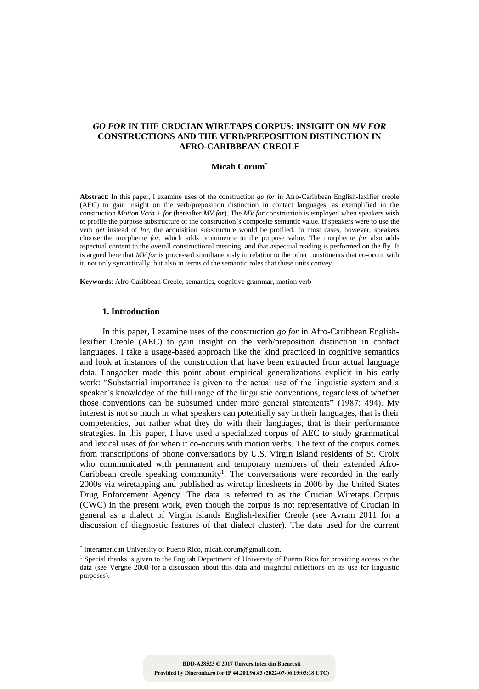# *GO FOR* **IN THE CRUCIAN WIRETAPS CORPUS: INSIGHT ON** *MV FOR* **CONSTRUCTIONS AND THE VERB/PREPOSITION DISTINCTION IN AFRO-CARIBBEAN CREOLE**

## **Micah Corum\***

**Abstract**: In this paper, I examine uses of the construction *go for* in Afro-Caribbean English-lexifier creole (AEC) to gain insight on the verb/preposition distinction in contact languages, as exemplified in the construction *Motion Verb + for* (hereafter *MV for*). The *MV for* construction is employed when speakers wish to profile the purpose substructure of the construction's composite semantic value. If speakers were to use the verb *get* instead of *for,* the acquisition substructure would be profiled. In most cases, however, speakers choose the morpheme *for,* which adds prominence to the purpose value. The morpheme *for* also adds aspectual content to the overall constructional meaning, and that aspectual reading is performed on the fly. It is argued here that *MV for* is processed simultaneously in relation to the other constituents that co-occur with it, not only syntactically, but also in terms of the semantic roles that those units convey.

**Keywords**: Afro-Caribbean Creole, semantics, cognitive grammar, motion verb

## **1. Introduction**

 $\overline{a}$ 

In this paper, I examine uses of the construction *go for* in Afro-Caribbean Englishlexifier Creole (AEC) to gain insight on the verb/preposition distinction in contact languages. I take a usage-based approach like the kind practiced in cognitive semantics and look at instances of the construction that have been extracted from actual language data. Langacker made this point about empirical generalizations explicit in his early work: "Substantial importance is given to the actual use of the linguistic system and a speaker's knowledge of the full range of the linguistic conventions, regardless of whether those conventions can be subsumed under more general statements" (1987: 494). My interest is not so much in what speakers can potentially say in their languages, that is their competencies, but rather what they do with their languages, that is their performance strategies. In this paper, I have used a specialized corpus of AEC to study grammatical and lexical uses of *for* when it co-occurs with motion verbs. The text of the corpus comes from transcriptions of phone conversations by U.S. Virgin Island residents of St. Croix who communicated with permanent and temporary members of their extended Afro-Caribbean creole speaking community<sup>1</sup>. The conversations were recorded in the early 2000s via wiretapping and published as wiretap linesheets in 2006 by the United States Drug Enforcement Agency. The data is referred to as the Crucian Wiretaps Corpus (CWC) in the present work, even though the corpus is not representative of Crucian in general as a dialect of Virgin Islands English-lexifier Creole (see Avram 2011 for a discussion of diagnostic features of that dialect cluster). The data used for the current

<sup>\*</sup> Interamerican University of Puerto Rico, micah.corum@gmail.com.

<sup>&</sup>lt;sup>1</sup> Special thanks is given to the English Department of University of Puerto Rico for providing access to the data (see Vergne 2008 for a discussion about this data and insightful reflections on its use for linguistic purposes).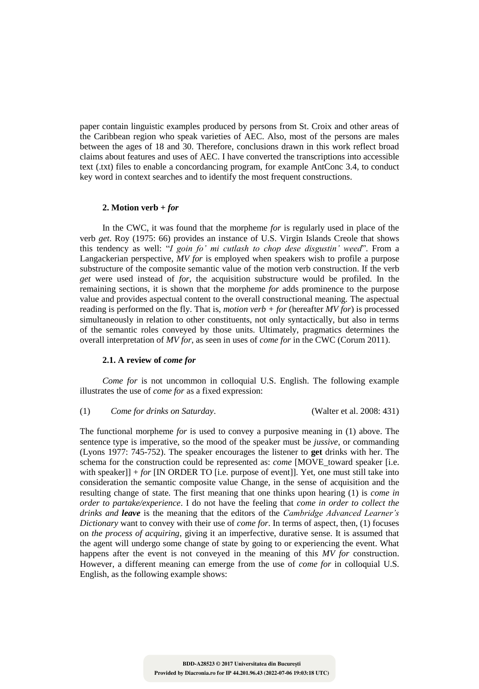paper contain linguistic examples produced by persons from St. Croix and other areas of the Caribbean region who speak varieties of AEC. Also, most of the persons are males between the ages of 18 and 30. Therefore, conclusions drawn in this work reflect broad claims about features and uses of AEC. I have converted the transcriptions into accessible text (.txt) files to enable a concordancing program, for example AntConc 3.4, to conduct key word in context searches and to identify the most frequent constructions.

# **2. Motion verb +** *for*

In the CWC, it was found that the morpheme *for* is regularly used in place of the verb *get*. Roy (1975: 66) provides an instance of U.S. Virgin Islands Creole that shows this tendency as well: "*I goin fo' mi cutlash to chop dese disgustin' weed*". From a Langackerian perspective, *MV for* is employed when speakers wish to profile a purpose substructure of the composite semantic value of the motion verb construction. If the verb *get* were used instead of *for,* the acquisition substructure would be profiled. In the remaining sections, it is shown that the morpheme *for* adds prominence to the purpose value and provides aspectual content to the overall constructional meaning. The aspectual reading is performed on the fly. That is, *motion verb + for* (hereafter *MV for*) is processed simultaneously in relation to other constituents, not only syntactically, but also in terms of the semantic roles conveyed by those units. Ultimately, pragmatics determines the overall interpretation of *MV for*, as seen in uses of *come for* in the CWC (Corum 2011).

### **2.1. A review of** *come for*

*Come for* is not uncommon in colloquial U.S. English. The following example illustrates the use of *come for* as a fixed expression:

### (1) *Come for drinks on Saturday*. (Walter et al. 2008: 431)

The functional morpheme *for* is used to convey a purposive meaning in (1) above. The sentence type is imperative, so the mood of the speaker must be *jussive*, or commanding (Lyons 1977: 745-752). The speaker encourages the listener to **get** drinks with her. The schema for the construction could be represented as: *come* [MOVE\_toward speaker [i.e.] with speaker]] + *for* [IN ORDER TO [i.e. purpose of event]]. Yet, one must still take into consideration the semantic composite value Change, in the sense of acquisition and the resulting change of state. The first meaning that one thinks upon hearing (1) is *come in order to partake/experience*. I do not have the feeling that *come in order to collect the drinks and leave* is the meaning that the editors of the *Cambridge Advanced Learner's Dictionary* want to convey with their use of *come for*. In terms of aspect, then, (1) focuses on *the process of acquiring*, giving it an imperfective, durative sense. It is assumed that the agent will undergo some change of state by going to or experiencing the event. What happens after the event is not conveyed in the meaning of this *MV for* construction. However, a different meaning can emerge from the use of *come for* in colloquial U.S. English, as the following example shows: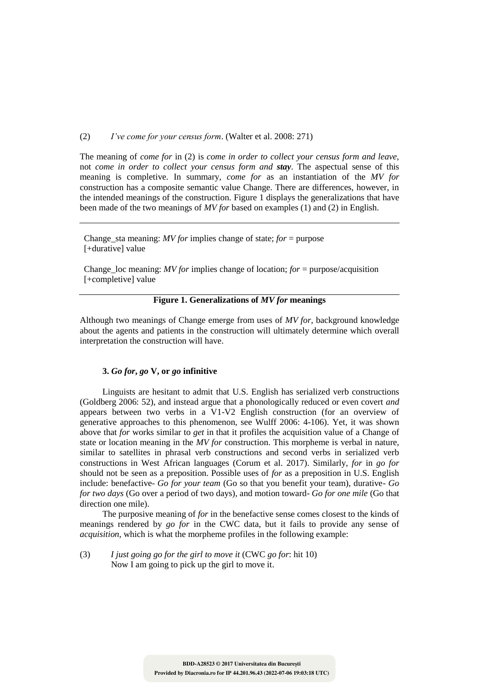(2) *I've come for your census form*. (Walter et al. 2008: 271)

The meaning of *come for* in (2) is *come in order to collect your census form and leave,* not *come in order to collect your census form and stay*. The aspectual sense of this meaning is completive. In summary, *come for* as an instantiation of the *MV for*  construction has a composite semantic value Change. There are differences, however, in the intended meanings of the construction. Figure 1 displays the generalizations that have been made of the two meanings of *MV for* based on examples (1) and (2) in English.

Change sta meaning: *MV for* implies change of state;  $for =$  purpose [+durative] value

Change loc meaning: *MV for* implies change of location; *for* = purpose/acquisition [+completive] value

# **Figure 1. Generalizations of** *MV for* **meanings**

Although two meanings of Change emerge from uses of *MV for*, background knowledge about the agents and patients in the construction will ultimately determine which overall interpretation the construction will have.

# **3.** *Go for***,** *go* **V, or** *go* **infinitive**

Linguists are hesitant to admit that U.S. English has serialized verb constructions (Goldberg 2006: 52), and instead argue that a phonologically reduced or even covert *and*  appears between two verbs in a V1-V2 English construction (for an overview of generative approaches to this phenomenon, see Wulff 2006: 4-106). Yet, it was shown above that *for* works similar to *get* in that it profiles the acquisition value of a Change of state or location meaning in the *MV for* construction. This morpheme is verbal in nature, similar to satellites in phrasal verb constructions and second verbs in serialized verb constructions in West African languages (Corum et al. 2017). Similarly, *for* in *go for* should not be seen as a preposition. Possible uses of *for* as a preposition in U.S. English include: benefactive- *Go for your team* (Go so that you benefit your team), durative- *Go for two days* (Go over a period of two days), and motion toward- *Go for one mile* (Go that direction one mile).

The purposive meaning of *for* in the benefactive sense comes closest to the kinds of meanings rendered by *go for* in the CWC data, but it fails to provide any sense of *acquisition*, which is what the morpheme profiles in the following example:

(3) *I just going go for the girl to move it* (CWC *go for*: hit 10) Now I am going to pick up the girl to move it.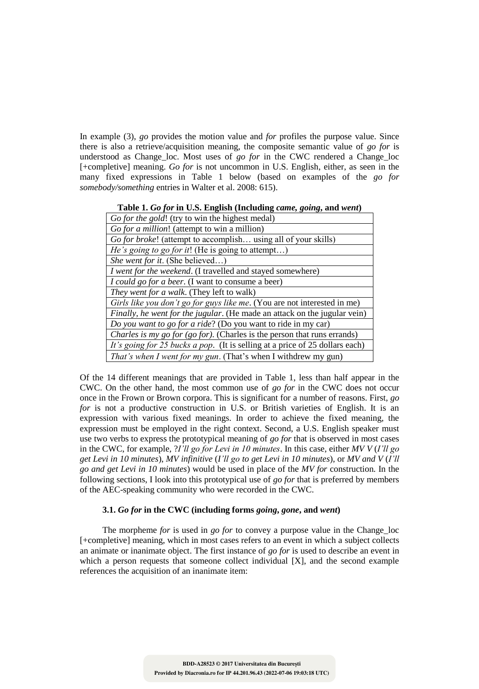In example (3), *go* provides the motion value and *for* profiles the purpose value. Since there is also a retrieve/acquisition meaning, the composite semantic value of *go for* is understood as Change\_loc. Most uses of *go for* in the CWC rendered a Change\_loc [+completive] meaning. *Go for* is not uncommon in U.S. English, either, as seen in the many fixed expressions in Table 1 below (based on examples of the *go for somebody/something* entries in Walter et al. 2008: 615).

# **Table 1.** *Go for* **in U.S. English (Including** *came, going***, and** *went***)**

| Go for the gold! (try to win the highest medal)                              |  |  |  |
|------------------------------------------------------------------------------|--|--|--|
| Go for a million! (attempt to win a million)                                 |  |  |  |
| Go for broke! (attempt to accomplish using all of your skills)               |  |  |  |
| He's going to go for it! (He is going to attempt)                            |  |  |  |
| She went for it. (She believed)                                              |  |  |  |
| I went for the weekend. (I travelled and stayed somewhere)                   |  |  |  |
| <i>I could go for a beer.</i> (I want to consume a beer)                     |  |  |  |
| They went for a walk. (They left to walk)                                    |  |  |  |
| Girls like you don't go for guys like me. (You are not interested in me)     |  |  |  |
| Finally, he went for the jugular. (He made an attack on the jugular vein)    |  |  |  |
| Do you want to go for a ride? (Do you want to ride in my car)                |  |  |  |
| Charles is my go for (go for). (Charles is the person that runs errands)     |  |  |  |
| It's going for 25 bucks a pop. (It is selling at a price of 25 dollars each) |  |  |  |
| That's when I went for my gun. (That's when I withdrew my gun)               |  |  |  |

Of the 14 different meanings that are provided in Table 1, less than half appear in the CWC. On the other hand, the most common use of *go for* in the CWC does not occur once in the Frown or Brown corpora. This is significant for a number of reasons. First, *go for* is not a productive construction in U.S. or British varieties of English. It is an expression with various fixed meanings. In order to achieve the fixed meaning, the expression must be employed in the right context. Second, a U.S. English speaker must use two verbs to express the prototypical meaning of *go for* that is observed in most cases in the CWC, for example, ?*I'll go for Levi in 10 minutes*. In this case, either *MV V* (*I'll go get Levi in 10 minutes*), *MV infinitive* (*I'll go to get Levi in 10 minutes*), or *MV and V* (*I'll go and get Levi in 10 minutes*) would be used in place of the *MV for* construction. In the following sections, I look into this prototypical use of *go for* that is preferred by members of the AEC-speaking community who were recorded in the CWC.

# **3.1.** *Go for* **in the CWC (including forms** *going***,** *gone***, and** *went***)**

The morpheme *for* is used in *go for* to convey a purpose value in the Change\_loc [+completive] meaning, which in most cases refers to an event in which a subject collects an animate or inanimate object. The first instance of *go for* is used to describe an event in which a person requests that someone collect individual [X], and the second example references the acquisition of an inanimate item: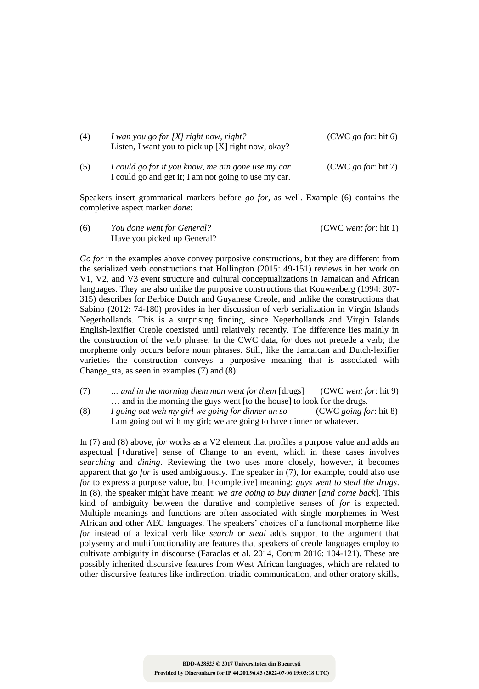| (4) | I wan you go for [X] right now, right?<br>Listen, I want you to pick up $[X]$ right now, okay?             | $(CWC$ go for: hit 6) |
|-----|------------------------------------------------------------------------------------------------------------|-----------------------|
| (5) | I could go for it you know, me ain gone use my car<br>I could go and get it; I am not going to use my car. | $(CWC$ go for: hit 7) |

Speakers insert grammatical markers before *go for*, as well. Example (6) contains the completive aspect marker *done*:

(6) *You done went for General?* (CWC *went for*: hit 1) Have you picked up General?

*Go for* in the examples above convey purposive constructions, but they are different from the serialized verb constructions that Hollington (2015: 49-151) reviews in her work on V1, V2, and V3 event structure and cultural conceptualizations in Jamaican and African languages. They are also unlike the purposive constructions that Kouwenberg (1994: 307- 315) describes for Berbice Dutch and Guyanese Creole, and unlike the constructions that Sabino (2012: 74-180) provides in her discussion of verb serialization in Virgin Islands Negerhollands. This is a surprising finding, since Negerhollands and Virgin Islands English-lexifier Creole coexisted until relatively recently. The difference lies mainly in the construction of the verb phrase. In the CWC data, *for* does not precede a verb; the morpheme only occurs before noun phrases. Still, like the Jamaican and Dutch-lexifier varieties the construction conveys a purposive meaning that is associated with Change sta, as seen in examples  $(7)$  and  $(8)$ :

- (7) *… and in the morning them man went for them* [drugs] (CWC *went for*: hit 9) … and in the morning the guys went [to the house] to look for the drugs.
- (8) *I going out weh my girl we going for dinner an so* (CWC *going for*: hit 8) I am going out with my girl; we are going to have dinner or whatever.

In (7) and (8) above, *for* works as a V2 element that profiles a purpose value and adds an aspectual [+durative] sense of Change to an event, which in these cases involves *searching* and *dining*. Reviewing the two uses more closely, however, it becomes apparent that g*o for* is used ambiguously. The speaker in (7), for example, could also use *for* to express a purpose value, but [+completive] meaning: *guys went to steal the drugs*. In (8), the speaker might have meant: *we are going to buy dinner* [*and come back*]. This kind of ambiguity between the durative and completive senses of *for* is expected. Multiple meanings and functions are often associated with single morphemes in West African and other AEC languages. The speakers' choices of a functional morpheme like *for* instead of a lexical verb like *search* or *steal* adds support to the argument that polysemy and multifunctionality are features that speakers of creole languages employ to cultivate ambiguity in discourse (Faraclas et al. 2014, Corum 2016: 104-121). These are possibly inherited discursive features from West African languages, which are related to other discursive features like indirection, triadic communication, and other oratory skills,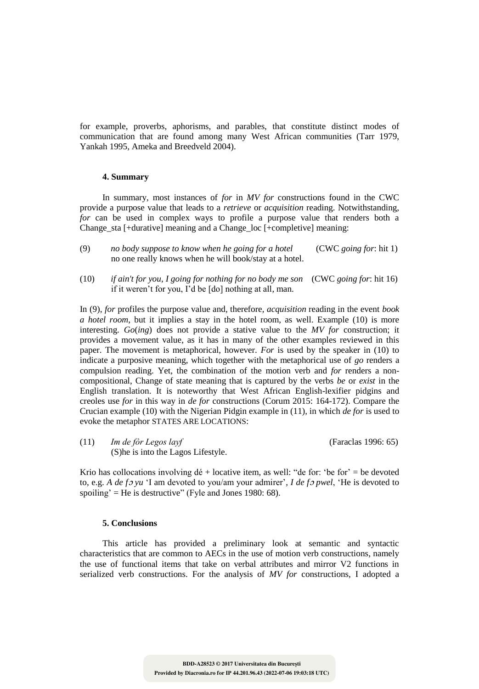for example, proverbs, aphorisms, and parables, that constitute distinct modes of communication that are found among many West African communities (Tarr 1979, Yankah 1995, Ameka and Breedveld 2004).

# **4. Summary**

In summary, most instances of *for* in *MV for* constructions found in the CWC provide a purpose value that leads to a *retrieve* or *acquisition* reading. Notwithstanding, *for* can be used in complex ways to profile a purpose value that renders both a Change sta [+durative] meaning and a Change loc [+completive] meaning:

- (9) *no body suppose to know when he going for a hotel* (CWC *going for*: hit 1) no one really knows when he will book/stay at a hotel.
- (10) *if ain't for you, I going for nothing for no body me son* (CWC *going for*: hit 16) if it weren't for you, I'd be [do] nothing at all, man.

In (9), *for* profiles the purpose value and, therefore, *acquisition* reading in the event *book a hotel room*, but it implies a stay in the hotel room, as well. Example (10) is more interesting. *Go*(*ing*) does not provide a stative value to the *MV for* construction; it provides a movement value, as it has in many of the other examples reviewed in this paper. The movement is metaphorical, however. *For* is used by the speaker in (10) to indicate a purposive meaning, which together with the metaphorical use of *go* renders a compulsion reading. Yet, the combination of the motion verb and *for* renders a noncompositional, Change of state meaning that is captured by the verbs *be* or *exist* in the English translation. It is noteworthy that West African English-lexifier pidgins and creoles use *for* in this way in *de for* constructions (Corum 2015: 164-172). Compare the Crucian example (10) with the Nigerian Pidgin example in (11), in which *de for* is used to evoke the metaphor STATES ARE LOCATIONS:

(11) *Im de fòr Legos layf* (Faraclas 1996: 65) (S)he is into the Lagos Lifestyle.

Krio has collocations involving  $d\acute{e}$  + locative item, as well: "de for: 'be for' = be devoted to, e.g. *A de f*<sup>ɔ</sup> *yu* 'I am devoted to you/am your admirer', *I de f*<sup>ɔ</sup> *pwel*, 'He is devoted to spoiling' = He is destructive" (Fyle and Jones 1980: 68).

## **5. Conclusions**

This article has provided a preliminary look at semantic and syntactic characteristics that are common to AECs in the use of motion verb constructions, namely the use of functional items that take on verbal attributes and mirror V2 functions in serialized verb constructions. For the analysis of *MV for* constructions, I adopted a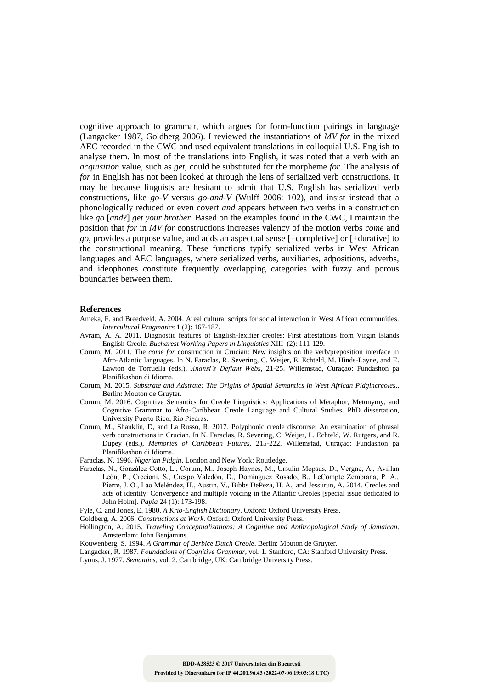cognitive approach to grammar, which argues for form-function pairings in language (Langacker 1987, Goldberg 2006). I reviewed the instantiations of *MV for* in the mixed AEC recorded in the CWC and used equivalent translations in colloquial U.S. English to analyse them. In most of the translations into English, it was noted that a verb with an *acquisition* value, such as *get*, could be substituted for the morpheme *for*. The analysis of *for* in English has not been looked at through the lens of serialized verb constructions. It may be because linguists are hesitant to admit that U.S. English has serialized verb constructions, like *go-V* versus *go-and-V* (Wulff 2006: 102), and insist instead that a phonologically reduced or even covert *and* appears between two verbs in a construction like *go* [*and*?] *get your brother*. Based on the examples found in the CWC, I maintain the position that *for* in *MV for* constructions increases valency of the motion verbs *come* and *go*, provides a purpose value, and adds an aspectual sense [+completive] or [+durative] to the constructional meaning. These functions typify serialized verbs in West African languages and AEC languages, where serialized verbs, auxiliaries, adpositions, adverbs, and ideophones constitute frequently overlapping categories with fuzzy and porous boundaries between them.

#### **References**

- Ameka, F. and Breedveld, A. 2004. Areal cultural scripts for social interaction in West African communities. *Intercultural Pragmatics* 1 (2): 167-187.
- Avram, A. A. 2011. Diagnostic features of English-lexifier creoles: First attestations from Virgin Islands English Creole. *Bucharest Working Papers in Linguistics* XIII (2): 111-129.
- Corum, M. 2011. The *come for* construction in Crucian: New insights on the verb/preposition interface in Afro-Atlantic languages. In N. Faraclas, R. Severing, C. Weijer, E. Echteld, M. Hinds-Layne, and E. Lawton de Torruella (eds.), *Anansi's Defiant Webs*, 21-25. Willemstad, Curaçao: Fundashon pa Planifikashon di Idioma.
- Corum, M. 2015. *Substrate and Adstrate: The Origins of Spatial Semantics in West African Pidgincreoles*.. Berlin: Mouton de Gruyter.
- Corum, M. 2016. Cognitive Semantics for Creole Linguistics: Applications of Metaphor, Metonymy, and Cognitive Grammar to Afro-Caribbean Creole Language and Cultural Studies. PhD dissertation, University Puerto Rico, Río Piedras.
- Corum, M., Shanklin, D, and La Russo, R. 2017. Polyphonic creole discourse: An examination of phrasal verb constructions in Crucian. In N. Faraclas, R. Severing, C. Weijer, L. Echteld, W. Rutgers, and R. Dupey (eds.), *Memories of Caribbean Futures*, 215-222. Willemstad, Curaçao: Fundashon pa Planifikashon di Idioma.
- Faraclas, N. 1996. *Nigerian Pidgin*. London and New York: Routledge.
- Faraclas, N., González Cotto, L., Corum, M., Joseph Haynes, M., Ursulin Mopsus, D., Vergne, A., Avillán León, P., Crecioni, S., Crespo Valedón, D., Domínguez Rosado, B., LeCompte Zembrana, P. A., Pierre, J. O., Lao Meléndez, H., Austin, V., Bibbs DePeza, H. A., and Jessurun, A. 2014. Creoles and acts of identity: Convergence and multiple voicing in the Atlantic Creoles [special issue dedicated to John Holm]. *Papia* 24 (1): 173-198.

Fyle, C. and Jones, E. 1980. *A Krio-English Dictionary*. Oxford: Oxford University Press.

- Goldberg, A. 2006. *Constructions at Work*. Oxford: Oxford University Press.
- Hollington, A. 2015. *Traveling Conceptualizations: A Cognitive and Anthropological Study of Jamaican*. Amsterdam: John Benjamins.
- Kouwenberg, S. 1994. *A Grammar of Berbice Dutch Creole*. Berlin: Mouton de Gruyter.

Langacker, R. 1987. *Foundations of Cognitive Grammar*, vol. 1. Stanford, CA: Stanford University Press. Lyons, J. 1977. *Semantics*, vol. 2. Cambridge, UK: Cambridge University Press.